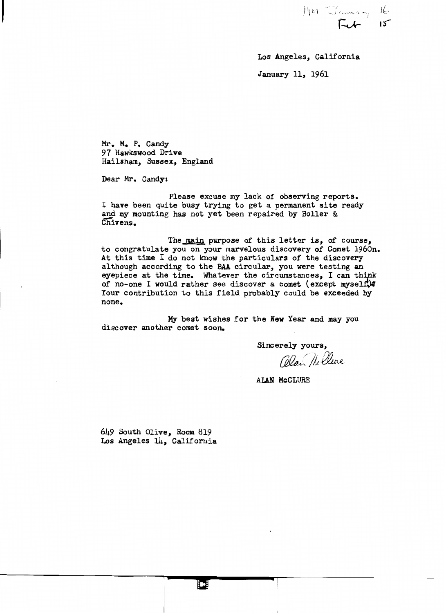$\frac{1}{2}$  if  $\frac{1}{2}$   $\frac{1}{2}$   $\frac{1}{2}$   $\frac{1}{2}$   $\frac{1}{2}$   $\frac{1}{2}$   $\frac{1}{2}$   $\frac{1}{2}$   $\frac{1}{2}$ 

January 11, 1961

Mr. M. P. Candy 97 Hawkswood Drive Hailsham, Sussex, England

Dear Mr. Candy:

Please excuse my lack of observing reports. <sup>I</sup>have been quite busy trying to get a permanent site ready and my mounting has not yet been repaired by Boller & I have be<br>and my me<br>Chivens.

The maip purpose of this letter is, of course, to congratulate you on your marvelous discovery of Comet 1960n. At this time I do not know the particulars of the discovery although according to the BAA circular, you were testing an eyepiece at the time. Whatever the circumstances, I can think of no-one I would rather see discover a comet (except myself) Your contribution to this field probably could be exceeded by none.

My best wishes for the New Year and may you discover another comet soon.

Sincerely yours, Celan The Cleve

AIAN McCLURE

649 South Olive, Room 819 Los Angeles 14, California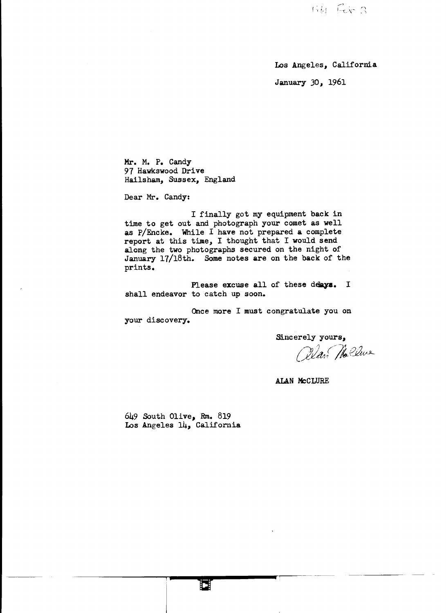Los Angeles, California January 30, 1961

Mr. M. P. Candy *91* Hawkswood Drive Hailsham, Sussex, England

Dear Mr. Candy:

I finally got my equipment back in time to get out and photograph your comet as well as P/Encke. While I have not prepared a complete report at this time, I thought that I would send along the two photographs secured on the night of January 17/18th. Some notes are on the back of the prints.

Please excuse all of these deays. I shall endeavor to catch up soon.

Once more I must congratulate you on your discovery.

Sincerely yours,

*{;J/A/1{./t* &09.-

**ALAN McCLURE** 

649 South Olive, Rm. 819 Los Angeles 14, California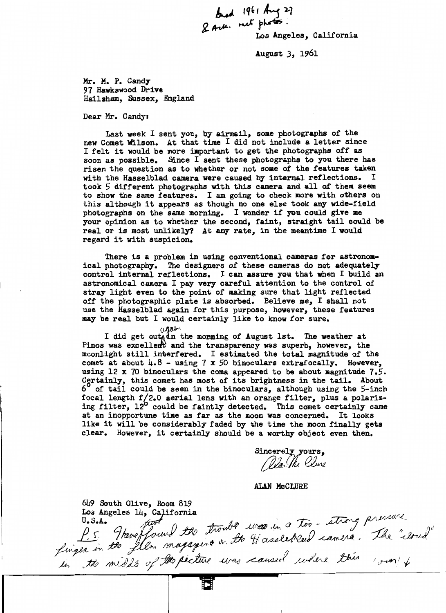~ *(q'* I A-s );]  $2$  Acte. net phones.

Los Angeles, California

August *3,* 1961

Mr. M. P. Candy 97 Hawkswood Drive Hailsham, Sussex, England

Dear Mr. Candy:

Last week I sent you, by airmail, some photographs of the new Comet Wilson. At that time I did not include a letter since I felt it would be more important to get the photographs off as soon as possible. Since I sent these photographs to you there has risen the question as to whether or not some of the features taken<br>with the Hasselblad camera were caused by internal reflections. I with the Hasselblad camera were caused by internal reflections. took 5 different photographs with this camera and all of them seem to show the same features. I am going to check more with others on this although it appears as though no one else took any wide-field photographs on the same morning. I wonder if you could give me your opinion as to whether the second, faint, straight tail could be real or is most unlikely? At any rate, in the meantime I would regard it with suspicion.

There is a problem in using conventional cameras for astronomical photography. The designers of these cameras do not adequately control internal reflections. I can assure you that when I build an astronomical camera I pay very careful attention to the control of stray light even to the point of making sure that light reflected off the photographic plate is absorbed. Believe me, I shall not use the Hasselblad again for this purpose, however, these features may be real but I would certainly like to know for sure.

(J-M»"·

I did get out in the monning of August lst. The weather at Pinos was excellerth and the transparency was superb, however, the moonlight still interfered. I estimated the total magnitude of the comet at about 4.8 - using *1* x *50* binoculars extrafocally. However, using 12 x 70 binoculars the coma appeared to be about magnitude  $7.5$ . Certainly, this comet has most of its brightness in the tail. About 6° of tail could be seen in the binoculars, although using the 5-inch focal length  $f/2.0$  aerial lens with an orange filter, plus a polarizing filter, 12° could be faintly detected. This comet certainly came at an inopportune time as far as the moon was concerned. It looks like it will be considerably faded by the time the moon finally gets clear. However, it certainly should be a worthy object even then.

Sincerely yours, / lla The Clure

ALAN MeCLURE

649 South Olive, Room 819 Les Angeles 14, California<br>1.5. Javeflourd the trouble was in a too-strong pressure<br>finger in the plem magazine on the Hassleblew camera. The "cloud" Los Angeles 14, California

Ħ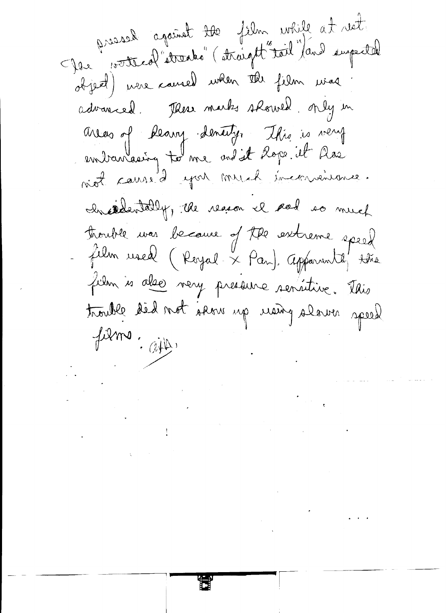pressed against the film while at rect Jacques Cond liat de la Cataline de la Fonter, et objet) were caused when the film was advanced. Pless marks showed only in Aves of Reary dentity. This is very<br>embanairy to me and it Rope it Ass. cheadertally, the reason it had so much trouble was because of the extreme speel film is also very pressure servitive. This beegs vuola présir qu'une tous béle deut films. ail.

 $\label{eq:2.1} \frac{1}{2} \int_{\mathbb{R}^3} \frac{1}{\sqrt{2\pi}} \int_{\mathbb{R}^3} \frac{1}{\sqrt{2\pi}} \int_{\mathbb{R}^3} \frac{1}{\sqrt{2\pi}} \int_{\mathbb{R}^3} \frac{1}{\sqrt{2\pi}} \int_{\mathbb{R}^3} \frac{1}{\sqrt{2\pi}} \int_{\mathbb{R}^3} \frac{1}{\sqrt{2\pi}} \int_{\mathbb{R}^3} \frac{1}{\sqrt{2\pi}} \int_{\mathbb{R}^3} \frac{1}{\sqrt{2\pi}} \int_{\mathbb{R}^3}$ 

 $\label{eq:2} \frac{1}{\sqrt{2}}\left(\frac{1}{\sqrt{2}}\right)^2\left(\frac{1}{\sqrt{2}}\right)^2\left(\frac{1}{\sqrt{2}}\right)^2.$ 

 $\label{eq:1} \frac{1}{4}\int_{\mathbb{R}^{3}}\left|\frac{d\mathbf{x}}{d\mathbf{x}}\right|^{2}d\mathbf{x}$ 

 $\label{eq:R1} \mathbf{X}^{(n)} = \mathbf{X}^{(n)} \mathbf{X}^{(n)} \mathbf{X}^{(n)} \mathbf{X}^{(n)}$ 

 $\frac{1}{2}$  and  $\frac{1}{2}$ 

 $\label{eq:2.1} \mathcal{L}(\mathcal{L}^{\text{max}}_{\mathcal{L}}(\mathcal{L}^{\text{max}}_{\mathcal{L}}(\mathcal{L}^{\text{max}}_{\mathcal{L}}(\mathcal{L}^{\text{max}}_{\mathcal{L}^{\text{max}}_{\mathcal{L}}(\mathcal{L}^{\text{max}}_{\mathcal{L}^{\text{max}}_{\mathcal{L}^{\text{max}}_{\mathcal{L}^{\text{max}}_{\mathcal{L}^{\text{max}}_{\mathcal{L}^{\text{max}}_{\mathcal{L}^{\text{max}}_{\mathcal{L}^{\text{max}}_{\mathcal{L}^{\text{max}}$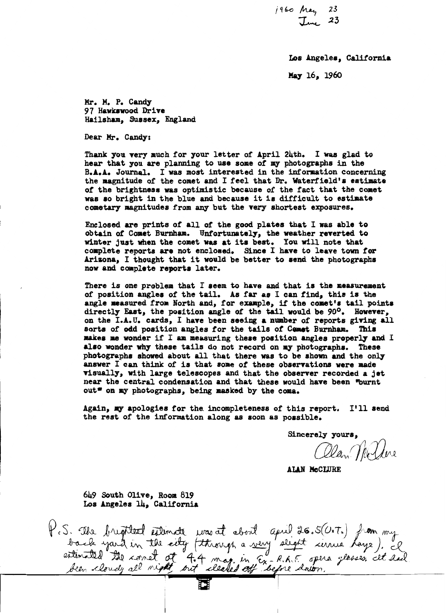1960 May 23

Los Angeles, California

May 16, 1960

Mr. M. P. Candy 97 Havkswood Drive Hailshaa, Sussex, England

Dear Mr. Candy:

Thank you very much for your letter of April 24th. I was glad to hear that you are planning to use some of my photographs in the B.A.A. Journal. I was most interested in the information concerning the magnitude of the comet and I feel that Dr. Waterfield's estimate *ot* the brightness was optimistic because of the fact that the comet vas so bright in the blue and because it is difficult to estiaate cometary magnitude& from any but the very shortest exposures.

Enclosed are prints of all of the good plates that I was able to obtain of Comet Burnham. Unfortunately, the weather reverted to winter just when the comet vas at ita beat. You will note that complete reports are not enclosed. Since I have to leave town for Arisona, I thought that it would be better to send the photographs now and complete reports later.

There is one problem that I seem to have and that is the measurement or position angles of the tail. As far as I can find, this is the angle measured from North and, for example, if the comet's tail points directly East, the position angle of the tail would be 90°. However, on the I.A.u. cards, I have been seeing a number of reports giving all sorts or odd position angles *tor* the tails of Caaet Burnham. This makes me wonder if  $I$  am measuring these position angles properly and  $I$ also wonder why these tails do not record on my photographs. These photographs shoved about all that there was to be shown and the only answer I can think of is that some of these observations were made visually, with large telescopes and that the observer recorded a jet near the central condensation and that these would have been "burnt out" on my photographs, being masked by the coma.

Again, my apologies for the incompleteness of this report. I'll send the rest of the information along as soon as possible.

Sincerely yours,

Olan McDere

**ALAN McCLURE** 

649 South Olive, Room 819 Los Angeles 14, California

P.S. The brighted extincts was at about april 26.5(0.7.) from my<br>back yard in the eity (through a very slight circus lays). I<br>estimated the correct of 4.4 mag, in Ex-R.R.F. opera glasses, all dad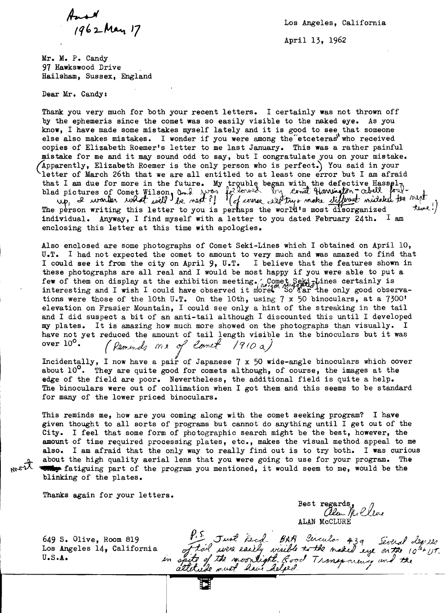Anold 17

April 13, 1962

Mr. M. P. Candy 97 Hawkswood Drive Hailsham, Sussex, England

Dear Mr. Candy:

Thank you very much for both your recent letters. I certainly was not thrown off by the ephemeris since the comet was so easily visible to the naked eye. As you know, I have made some mistakes myself lately and it is good to see that someone else also makes mistakes. I wonder if you were among the etceteras<sup>'</sup> who received copies of Elizabeth Roemer's letter to me last January. This was a rather painful mistake for me and it may sound odd to say, but I congratulate you on your mistake.  $\Delta$ pparently, Elizabeth Roemer is the only person who is perfect. You said in your letter of March 26th that we are all entitled to at least one error but I am afraid that I am due for more in the future. My trouble began with the defective Hassel-<br>blad pictures of Comet Wilson, and was followed by come flavington abell foul-<br>up, I would what will be next? (of course elective moke diffe The person writing this letter to you is perhaps the world's most disorganized ture. individual. Anyway, I find myself with a letter to you dated February 24th.  $I$  am enclosing this letter at this time with apologies.

Also enclosed are some photographs of Comet Seki-Lines which I obtained on April 10, U.T. I had not expected the comet to amount to very much and was amazed to find that <sup>I</sup>could see it from the city on April 9, U.T. I believe that the features shown in these photographs are all real and I would be most happy if you were able to put a few of them on display at the exhibition meeting. Comet Sekin lines certainly is interesting and I wish I could have observed it more. So far the only good observations were those of the lOth U.T. On the lOth, using 7 x 50 binoculars, at a 7300' elevation on Frasier Mountain, I could see only a hint of the streaking in the tail and I did suspect a bit of an anti-tail although I discounted this until I developed my plates. It is amazing how much more showed on the photographs than visually. I have not yet reduced the amount of tail length visible in the binoculars but it was over  $10^{\circ}$ . (Remained many of Comet 1910a)

Incidentally, I now have a pair of Japanese 7 x 50 wide-angle binoculars which cover about  $10^{\circ}$ . They are quite good for comets although, of course, the images at the edge of the field are poor. Nevertheless, the additional field is quite a help. The binoculars were out of collimation when I got them and this seems to be standard for many of the lower priced binoculars.

This reminds me, how are you coming along with the comet seeking program? I have given thought to all sorts of programs but cannot do anything until I get out of the City. I feel that some form of photographic search might be the best, however, the amount of time required processing plates, etc., makes the visual method appeal to me also. I am afraid that the only way to really find out is to try both. I was curious about the high quality aerial lens that you were going to use for your program. The **CULS** fatiguing part of the program you mentioned, it would seem to me, would be the blinking of the plates.

Thanks again for your letters.

 $\mathcal{D}$ . M  $\mathcal{D}_{\ell}$ ALAN McCLURE ALAN MOCLURE<br>P.S. Just Read BAA Circular 439 Several degrees

P. 5 Just Reed. BAA Circular 439 Several degrees<br>of tail were easily visible to the naked eye on the 10<sup>46</sup>UT.

spite of the moonlight. Good Transpowency and the

649 s. Olive, Room 819 Los Angeles 14, California u.s.A. *kn* 

Е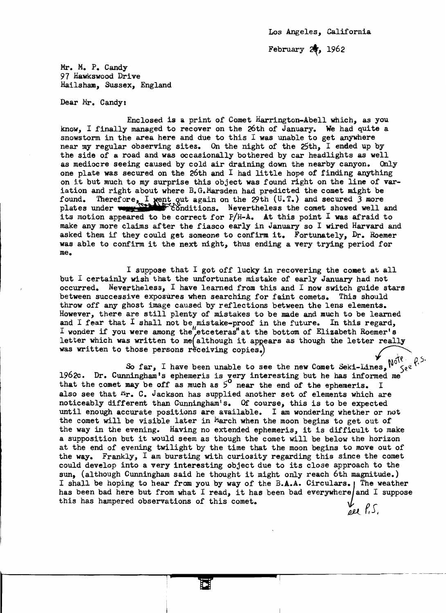February  $24, 1962$ 

Mr. M. P. Candy *91* Hawkswood Drive Hailsham, Sussex, England

Dear Mr. Candy:

Enclosed is a print of Comet Harrington-Abell which, as you know, I finally managed to recover on the 26th of January. We had quite a snowstorm in the area here and due to this  $I$  was unable to get anywhere near my regular observing sites. On the night of the 25th, I ended up by the side of a road and was occasionally bothered by car headlights as well as mediocre seeing caused by cold air draining down the nearby canyon. Only one plate was secured on the 26th and  $I$  had little hope of finding anything on it but much to my surprise this object was found right on the line of variation and right about where B.G. Marsden had predicted the comet might be found. Therefore, I went out again on the 29th (U.T.) and secured 3 more plates under  $\frac{1}{2}$  is conditions. Nevertheless the comet showed well and plates under we constraint conditions. Nevertheless the comet showed well and its motion appeared to be correct for  $P/H-A$ . At this point I was afraid to make any more claims after the fiasco early in January so I wired Harvard and asked them if they could get someone to confirm it. Fortunately, Dr. Roemer was able to confirm it the next night, thus ending a very trying period for me.

I suppose that I got off lucky in recovering the comet at all but I certainly wish that the unfortunate mistake of early January had not occurred. Nevertheless, I have learned from this and I now switch guide stars between successive exposures when searching for faint comets. This should throw off any ghost image caused by reflections between the lens elements. However, there are still plenty of mistakes to be made and much to be learned and I fear that I shall not be mistake-proof in the future. In this regard, I wonder if you were among the etceteras" at the bottom of Elizabeth Roemer's I wonder if you were among the etceteras at the bottom of Elizabeth hoemer's letter which was written to me(although it appears as though the letter really was written to those persons receiving copies.)

So far, I have been unable to see the new Comet Seki-Lines,  $N_0^{\text{eff}}$   $\epsilon$   $\rho$ . 1962c. Dr. Cunningham's ephemeris is very interesting but he has informed me that the comet may be off as much as  $5^{\circ}$  near the end of the ephemeris. I also see that  $~\mathfrak{m}_r$ . C. Jackson has supplied another set of elements which are noticeably different than Cunningham's. Of course, this is to be expected until enough accurate positions are available. I am wondering whether or not the comet will be visible later in March when the moon begins to get out of the way in the evening. Having no extended ephemeris, it is difficult to make a supposition but it would seem as though the comet will be below the horizon at the end of evening twilight by the time that the moon begins to move out of the way. Frankly, I am bursting with curiosity regarding this since the comet could develop into a very interesting object due to its close approach to the sun, (although Cunningham said he thought it might only reach 6th magnitude.) I shall be hoping to hear from you by way of the B.A.A. Circulars. The weather has been bad here but from what I read, it has been bad everywhere/and I suppose this has hampered observations of this comet.  $\mathcal{V}_{\text{opt}}$   $\beta$ , *S*,

Ы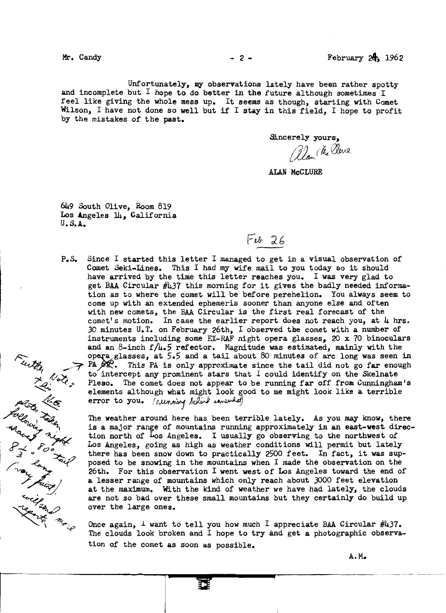$\frac{1}{\sqrt{2}}$ 

 $-2e_{n}$ 

**We Mell** 

Unfortunately, my observations lately have been rather spotty and incomplete but  $I$  hope to do better in the future although sometimes  $I$ feel like giving the whole mess up. It seems as though, starting with Comet Wilson, I have not done so well but if I stay in this field, I hope to profit by the mistakes of the past.

Sincerely yours,

/!M (hlL *f.2Av&* L.~

**ALAN McCLURE** 

649 South Olive, Room 819 Los Angeles  $\mathfrak{u}_1$ , California  $\mathfrak{v}_1$ . S.A.

Flh- 'J 6

P.S. Since I started this letter I managed to get in a visual observation of Comet Seki-Lines. This I had my wife mail to you today so it should have arrived by the time this letter reaches you. I was very glad to get BAA Circular  $\#$ 437 this morning for it gives the badly needed information as to where the comet will be before perehelion. You always seem to come up with an extended ephemeris sooner than anyone else and often with new comets, the BAA Circular is the first real forecast of the comet's motion. In case the earlier report does not reach you, at  $\mu$  hrs. *30* minutes U.T. on February 26th, I observed the comet with a number of instruments including some EX-RAF night opera glasses, 20 x 70 binoculars<br>and an 8-inch  $f/\mu_*$ 5 refector. Magnitude was estimated, mainly with the and an 8-inch f/4.5 refector. Magnitude was estimated, mainly with the opera glasses, at 5.5 and a tail about 80 minutes of arc long was seen in opera glasses, at 5.5 and a tail about 80 minutes of arc long was seen in<br><sup>4/1</sup>/<sub>2</sub> ... This PA is only approximate since the tail did not go far enough<br>to intercept any prominent stars that I could identify on the Skelnat to intercept any prominent stars that I could identify on the Skelnate<br>Pleso. The comet does not appear to be running far off from Cunningham's<br>elements although what might look good to me might look like a terrible  $error to you.$  (running believe asmembal) Further N. 6.

p-( *Port )*<br>P-( Port ) The weather around here has been terrible lately. As you may know, there is a major range of mountains running approximately in an east-west direction north of  $\overline{\text{Log} }$  Angeles. I usually go observing to the northwest of Los Angeles, going as high as weather conditions will permit but lately there has been snow down to practically *2500* feet. In fact, it was supposed to be snowing in the mountains when I made the observation on the 26th. For this observation I went west of Los Angeles toward the end of a lesser range of mountains which only reach about 3000 feet elevation at the maximum. With the kind of weather we have had lately, the clouds are not so bad over these small mountains but they certainly do build up over the large ones.

> Once again,  $\perp$  want to tell you how much I appreciate BAA Circular #437. The clouds look broken and I hope to try and get a photographic observation of the comet as soon as possible.

> > A. M. ------.-------------.. ---·-----·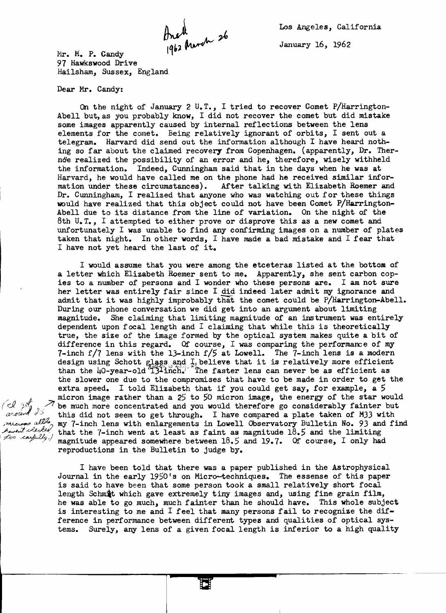Aneth 1962 to

January 16, 1962

Mr. M. P. Candy *91* Hawkswood Drive Hailsham, Sussex, England

Dear Mr. Candy:

On the night of January 2 U.T., I tried to recover Comet P/Harrington-Abell but,as you probably know, I did not recover the comet but did mistake some images apparently caused by internal reflections between the lens elements for the comet. Being relatively ignorant of orbits, I sent out a telegram. Harvard did send out the information although I have heard nothing so far about the claimed recovery from Copenhagen. (apparently,  $Dr$ . Thernde realized the possibility of an error and he, therefore, wisely withheld the information. Indeed, Cunningham said that in the days when he was at Harvard, he would have called me on the phone had he received similar information under these circumstances). After talking with Elizabeth Roemer and Dr. Cunningham, I realized that anyone who was watching out for these things would have realized that this object could not have been Comet P/Harrington-Abell due to its distance from the line of variation. On the night of the 8th U.T., I attempted to either prove or disprove this as a new comet and unfortunately I was unable to find any confirming images on a number of plates taken that night. In other words, I have made a bad mistake and I fear that I have not yet heard the last of it.

I would assume that you were among the etceteras listed at the bottom of a letter which Elizabeth Roemer sent to me. Apparently, she sent carbon copies to a number of persons and I wonder who these persons are. I am not sure her letter was entirely fair since I did indeed later admit my ignorance and admit that it was highly improbably that the comet could be P/Harrington-Abell. During our phone conversation we did get into an argument about limiting magnitude. She claiming that limiting magnitude of an instrument was entirely dependent upon focal length and  $I$  claiming that while this is theoretically true, the size of the image formed by the optical system makes quite a bit of difference in this regard. Of course, I was comparing the performance of my 7-inch f/7 lens with the 13-inch f/5 at Lowell. The 7-inch lens is a modern design using Schott  $g_{\text{lab,88}}$ , and  $f_{\text{lab}}$  believe that it is relatively more efficient than the  $\mu$ 0-year-old  $\lim_{\epsilon \to 1} \hat{f}$  inch. The faster lens can never be as efficient as the slower one due to the compromises that have to be made in order to get the extra speed. I told Elizabeth that if you could get say, for example, a 5 micron image rather than a 25 to 50 micron image, the energy of the star would  $\sqrt{\epsilon}$  and  $\epsilon$  be much more concentrated and you would therefore go considerably fainter but (d  $\frac{2\ell}{\ell}$  )  $\ell$  be much more concentrated and you would therefore go considerably fainter but this did not seem to get through. I have compared a plate taken of *M33* with *muchens allow* my 7-inch lens with enlarg my 7-inch lens with enlargements in Lowell Observatory Bulletin No. 93 and find haven't checked that the 7-inch went at least as faint as magnitude 18.5 and the limiting  $\frac{1}{100}$  caughly  $\frac{1}{100}$  magnitude arranged comprisons between 18.5 and 19.7 Of course I only be magnitude appeared somewhere between  $18.5$  and  $19.7.$  Of course, I only had reproductions in the Bulletin to judge by.

> I have been told that there was a paper published in the Astrophysical Journal in the early 1950's on Micro-techniques. The essense of this paper is said to have been that some person took a small relatively short focal length Schmit which gave extremely tiny images and, using fine grain film, he was able to go much, much fainter than he should have. This whole subject is interesting to me and I feel that many persons fail to recognize the difference in performance between different types and qualities of optical systems. Surely, any lens of a given focal length is inferior to a high quality

> > 囗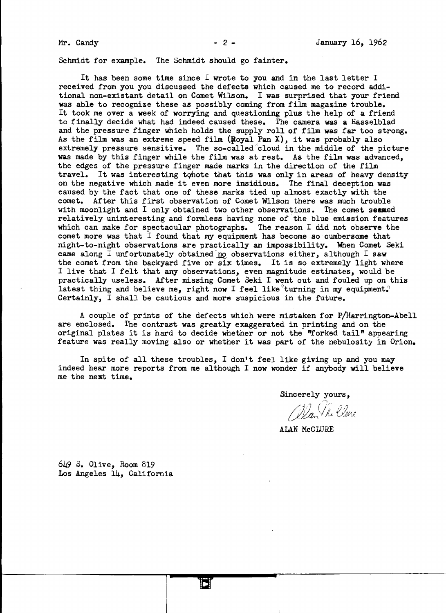Schmidt for example. The Schmidt should go fainter.

It has been some time since I wrote to you and in the last letter I received from you you discussed the defects which caused me to record additional non-existant detail on Comet Wilson. I was surprised that your friend was able to recognize these as possibly coming from film magazine trouble. It took me over a week of worrying and questioning plus the help of a friend to finally decide what had indeed caused these. The camera was a Hasselblad and the pressure finger which holds the supply roll of film was far too strong. As the film was an extreme speed film  $(Royal Pan X)$ , it was probably also extremely pressure sensitive. The so-called cloud in the middle of the picture was made by this finger while the film was at rest. As the film was advanced, the edges of the pressure finger made marks in the direction of the film travel. It was interesting to hote that this was only in areas of heavy density on the negative which made it even more insidious. The final deception was caused by the fact that one of these marks tied up almost exactly with the comet. After this first observation of Comet Wilson there was much trouble with moonlight and I only obtained two other observations. The comet seemed relatively uninteresting and formless having none of the blue emission features which can make for spectacular photographs. The reason I did not observe the comet more was that  $\overline{1}$  found that my equipment has become so cumbersome that night-to-night observations are practically an impossibility. When Comet Seki came along I unfortunately obtained  $~\text{no}$  observations either, although I saw the comet from the backyard five or six times. It is so extremely light where I live that I felt that any observations, even magnitude estimates, would be practically useless. After missing Comet Seki I went out and fouled up on this latest thing and believe me, right now I feel like turning in my equipment.<sup>"</sup> Certainly, I shall be cautious and more suspicious in the future.

A couple of prints of the defects which were mistaken for P/Harrington-Abell are enclosed. The contrast was greatly exaggerated in printing and on the original plates it is hard to decide whether or not the "forked tail" appearing feature was really moving also or whether it was part of the nebulosity in Orion.

In spite of all these troubles, I don't feel like giving up and you may indeed hear more reports from me although I now wonder if anybody will believe me the next time.

Sincerely yours,

/ Wan The Clare

ALAN McCLURE

649 S. Olive, Room 819 Los Angeles 14, California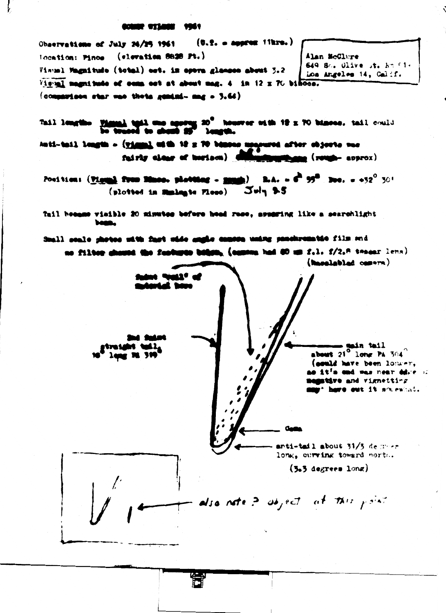## MINE 971400 1961

| $(0.2. -$ approx $1$ thro.)<br>Observations of July 24/25 1961   |                                                    |
|------------------------------------------------------------------|----------------------------------------------------|
| Hocation: Pince (elevation 8828 Pt.)                             | Alan McClure                                       |
| Visual Magnitude (total) est. in opera glasses about 5.2         | 649 80. Olive st. kn f1.<br>Los Angeles 14, Calif. |
| Visual magnitude of some oot at about mag. 4 in 12 x 70 bifices. |                                                    |
| $\sim$ (comparison star was thota gential- mag = $5.64$ )        |                                                    |

20<sup>0</sup> housver with 12 x 70 biness. tail could Tail lengths W length.

Anti-tail leagth - (view) with 12 z 70 bisses as mured after objecto was fairly clear of horison)  $\sim$  (rough- approx)

Position: (Figure from Museo, photons - mand) B.A. -  $d^2$  99<sup>8</sup> Bos. = +32<sup>0</sup> 30' (plotted in Similarte Pless) July 9.5

fail became visible 20 minutes before head rese, assering like a searchlight beam.

Small scale photos with fact wide ungile camera uning panchromatic film and no filtor showed the features behow, (commu had 80 mm f.l. f/2.8 tenear lens)

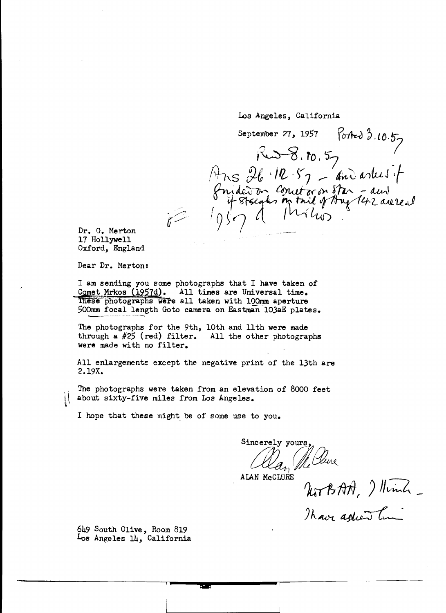Los Angeles, California

September 27, 1957 Ported 3.10.57<br>Rud 8.10.57<br>Ans 26.12.57 - and arles it Snider en conutar en star - aux

Dr. G. Merton 17 Hollywell Oxford, England

Dear Dr. Merton:

I am sending you some photographs that I have taken of Comet Mrkos  $(1957d)$ . All times are Universal time. These photographs were all taken with 100mm aperture 500mm focal length Goto camera on Eastman 103aE plates.

The photographs for the 9th, lOth and 11th were made through a  $#25$  (red) filter. All the other photographs were made with no filter.

All enlargements except the negative print of the 13th are 2.19X.

The photographs were taken from an elevation of 8000 feet about sixty-five miles from Los Angeles.

I hope that these might be of some use to you.

Sincerely yours, alan M. aure

ALAN McCLURE

NorthAA, ) Hinh -<br>Thave aduent him

649 South Olive, Room 819 Los Angeles 14, California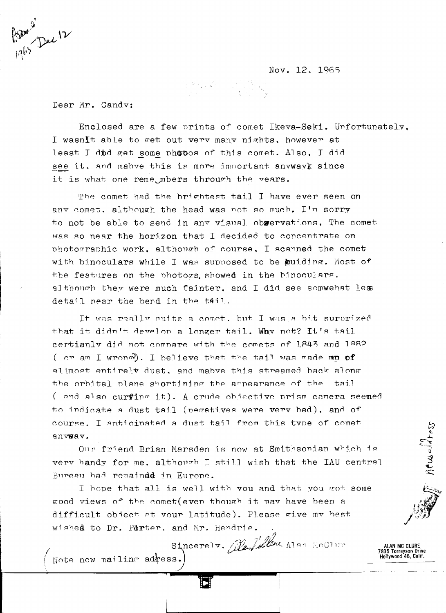Nov. 12, 1965

Dear Mr. Candv:

Span Dee 12

Enclosed are a few prints of comet Ikeya-Seki. Unfortunately, I wasnIt able to get out very many nights, however at least I did get some photos of this comet. Also, I did see it. and mabve this is more important anywayk since it is what one reme mbers through the vears.

The comet had the brightest tail I have ever seen on any comet. although the head was not so much. I'm sorry to not be able to send in any visual observations. The comet was so near the horizon that I decided to concentrate on photographic work, although of course. I scanned the comet with binoculars while I was supposed to be buiding. Most of the features on the photogs showed in the binoculars. although they were much fainter, and I did see somwehat less detail near the bend in the tail.

It was really ouite a comet. but I was a bit surprized that it didn't develop a longer tail. Why not? It's tail certianly did not compare with the comets of 1843 and 1882 ( or am I wrong). I believe that the tail was made wo of allmost entirelt dust, and mabye this streamed back along the orbital plane shortining the appearance of the tail tai ( and also curring it). A crude objective prism camera seemed to indicate a dust tail (negatives were very bad), and of course. I anticipated a dust tail from this type of comet anvway.

Our friend Brian Marsden is now at Smithsonian which is very handy for me, although I still wish that the IAU central Bureau had remaindd in Europe.

I hope that all is well with you and that you got some good views of the comet (even though it may have been a difficult object at your latitude). Please give my best wished to Dr. Porter, and Mr. Hendrie.

Sincerely. alan bollene Alan McClue

ALAN MC CLURE 7835 Torreyson Drive<br>Hollywood 46, Calif.

hewelltress

Note new mailing adress.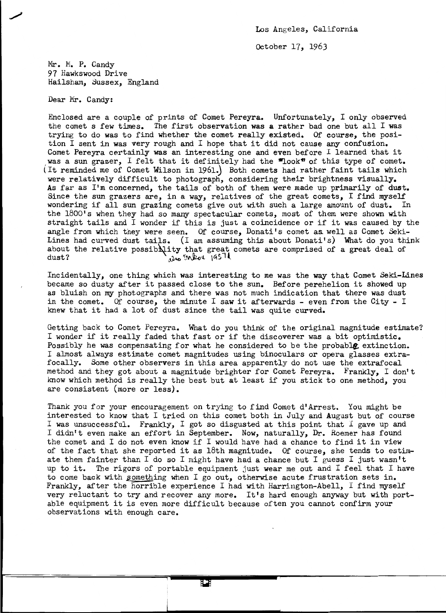October 17, 1963

Mr. M. P. Candy *91* Hawkswood Drive Hailsham, Sussex, England

Dear Mr. Candy:

Enclosed are a couple of prints of Comet Pereyra. Unfortunately, I only observed the comet s few times. The first observation was a rather bad one but all I was trying to do was to find whether the comet really existed. Of course, the position I sent in was very rough and I hope that it did not cause any confusion. Comet Pereyra certainly was an interesting one and even before I learned that it was a sun grazer, I felt that it definitely had the  $m$ look" of this type of comet. (It reminded me of Comet Wilson in 1961.) Both comets had rather faint tails which were relatively difficult to photograph, considering their brightness visually. As far as I'm concerned, the tails of both of them were made up primarily of dust. Since the sun grazers are, in a way, relatives of the great comets, I find myself wondering if all sun grazing comets give out with such a large amount of dust. In the 1800's when they had so many spectacular comets, most of them were shown with straight tails and I wonder if this is just a coincidence or if it was caused by the angle from which they were seen. Of course, Donati's comet as well as Comet Seki-Lines had curved dust tails. (I am assuming this about Donati's) What do you think about the relative possiblity that great comets are comprised of a great deal of dust? dust?  $\frac{1}{2}$ 

Incidentally, one thing which was interesting to me was the way that Comet Seki-Lines became so dusty after it passed close to the sun. Before perehelion it showed up as bluish on my photographs and there was not much indication that there was dust in the comet. Of course, the minute  $I$  saw it afterwards - even from the City -  $I$ knew that it had a lot of dust since the tail was quite curved.

Getting back to Comet Pereyra. What do you think of the original magnitude estimate? I wonder if it really faded that fast or if the discoverer was a bit optimistic. Possibly he was compensating for what he considered to be the probable extinction. I almost always estimate comet magnitudes using binoculars or opera glasses extrafocally. Some other observers in this area apparently do not use the extrafocal method and they got about a magnitude brighter for Comet Pereyra. Frankly, I don't know which method is really the best but at least if you stick to one method, you are consistent (more or less).

Thank you for your encouragement on trying to find Comet d'Arrest. You might be interested to know that I tried on this comet both in July and August but of course I was unsuccessful. Frankly, I got so disgusted at this point that I gave up and I didn't even make an effort in September. Now, naturally, Dr. Roemer has found the comet and I do not even know if I would have had a chance to find it in view of the fact that she reported it as 18th magnitude. Of course, she tends to estimate them fainter than I do so I might have had a chance but I guess I just wasn't up to it. The rigors of portable equipment just wear me out and I feel that I have to come back with something when I go out, otherwise acute frustration sets in. Frankly, after the horrible experience I had with Harrington-Abell, I find myself very reluctant to try and recover any more. It's hard enough anyway but with portable equipment it is even more difficult because often you cannot confirm your observations with enough care.